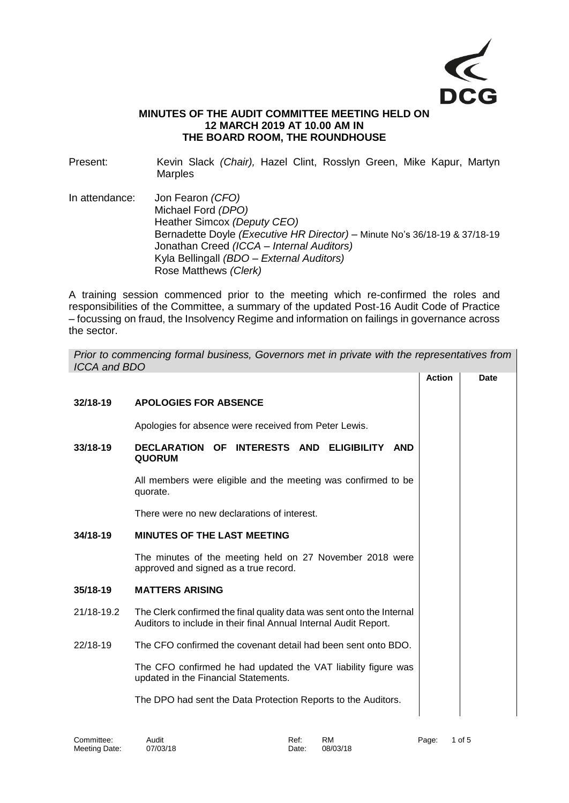

## **MINUTES OF THE AUDIT COMMITTEE MEETING HELD ON 12 MARCH 2019 AT 10.00 AM IN THE BOARD ROOM, THE ROUNDHOUSE**

Present: Kevin Slack *(Chair),* Hazel Clint, Rosslyn Green, Mike Kapur, Martyn Marples

In attendance: Jon Fearon *(CFO)* Michael Ford *(DPO)* Heather Simcox *(Deputy CEO)* Bernadette Doyle *(Executive HR Director) –* Minute No's 36/18-19 & 37/18-19 Jonathan Creed *(ICCA – Internal Auditors)* Kyla Bellingall *(BDO – External Auditors)* Rose Matthews *(Clerk)*

A training session commenced prior to the meeting which re-confirmed the roles and responsibilities of the Committee, a summary of the updated Post-16 Audit Code of Practice – focussing on fraud, the Insolvency Regime and information on failings in governance across the sector.

| Prior to commencing formal business, Governors met in private with the representatives from<br><b>ICCA and BDO</b> |                                                                                                                                           |               |             |  |  |  |
|--------------------------------------------------------------------------------------------------------------------|-------------------------------------------------------------------------------------------------------------------------------------------|---------------|-------------|--|--|--|
|                                                                                                                    |                                                                                                                                           | <b>Action</b> | <b>Date</b> |  |  |  |
| 32/18-19                                                                                                           | <b>APOLOGIES FOR ABSENCE</b>                                                                                                              |               |             |  |  |  |
|                                                                                                                    | Apologies for absence were received from Peter Lewis.                                                                                     |               |             |  |  |  |
| 33/18-19                                                                                                           | <b>DECLARATION OF</b><br>INTERESTS AND ELIGIBILITY AND<br><b>QUORUM</b>                                                                   |               |             |  |  |  |
|                                                                                                                    | All members were eligible and the meeting was confirmed to be<br>quorate.                                                                 |               |             |  |  |  |
|                                                                                                                    | There were no new declarations of interest.                                                                                               |               |             |  |  |  |
| 34/18-19                                                                                                           | <b>MINUTES OF THE LAST MEETING</b>                                                                                                        |               |             |  |  |  |
|                                                                                                                    | The minutes of the meeting held on 27 November 2018 were<br>approved and signed as a true record.                                         |               |             |  |  |  |
| 35/18-19                                                                                                           | <b>MATTERS ARISING</b>                                                                                                                    |               |             |  |  |  |
| 21/18-19.2                                                                                                         | The Clerk confirmed the final quality data was sent onto the Internal<br>Auditors to include in their final Annual Internal Audit Report. |               |             |  |  |  |
| 22/18-19                                                                                                           | The CFO confirmed the covenant detail had been sent onto BDO.                                                                             |               |             |  |  |  |
|                                                                                                                    | The CFO confirmed he had updated the VAT liability figure was<br>updated in the Financial Statements.                                     |               |             |  |  |  |
|                                                                                                                    | The DPO had sent the Data Protection Reports to the Auditors.                                                                             |               |             |  |  |  |
|                                                                                                                    |                                                                                                                                           |               |             |  |  |  |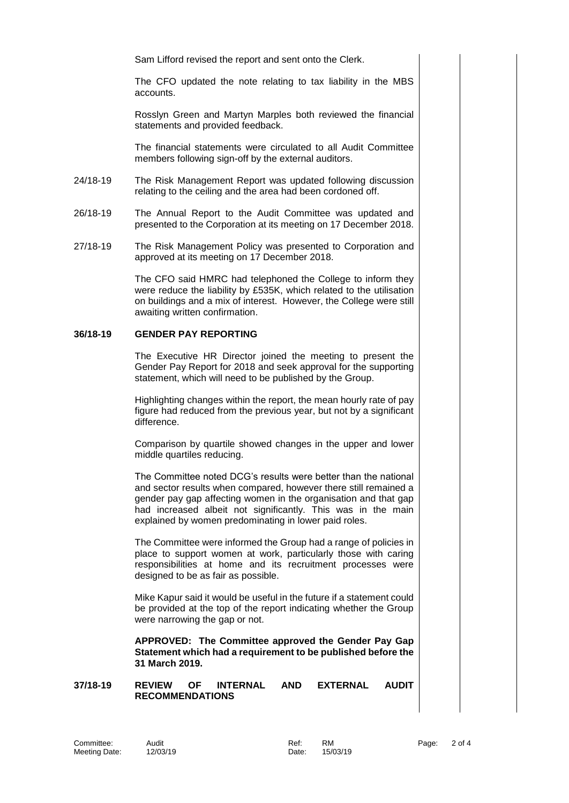Sam Lifford revised the report and sent onto the Clerk.

The CFO updated the note relating to tax liability in the MBS accounts.

Rosslyn Green and Martyn Marples both reviewed the financial statements and provided feedback.

The financial statements were circulated to all Audit Committee members following sign-off by the external auditors.

- 24/18-19 The Risk Management Report was updated following discussion relating to the ceiling and the area had been cordoned off.
- 26/18-19 The Annual Report to the Audit Committee was updated and presented to the Corporation at its meeting on 17 December 2018.
- 27/18-19 The Risk Management Policy was presented to Corporation and approved at its meeting on 17 December 2018.

The CFO said HMRC had telephoned the College to inform they were reduce the liability by £535K, which related to the utilisation on buildings and a mix of interest. However, the College were still awaiting written confirmation.

## **36/18-19 GENDER PAY REPORTING**

The Executive HR Director joined the meeting to present the Gender Pay Report for 2018 and seek approval for the supporting statement, which will need to be published by the Group.

Highlighting changes within the report, the mean hourly rate of pay figure had reduced from the previous year, but not by a significant difference.

Comparison by quartile showed changes in the upper and lower middle quartiles reducing.

The Committee noted DCG's results were better than the national and sector results when compared, however there still remained a gender pay gap affecting women in the organisation and that gap had increased albeit not significantly. This was in the main explained by women predominating in lower paid roles.

The Committee were informed the Group had a range of policies in place to support women at work, particularly those with caring responsibilities at home and its recruitment processes were designed to be as fair as possible.

Mike Kapur said it would be useful in the future if a statement could be provided at the top of the report indicating whether the Group were narrowing the gap or not.

**APPROVED: The Committee approved the Gender Pay Gap Statement which had a requirement to be published before the 31 March 2019.**

**37/18-19 REVIEW OF INTERNAL AND EXTERNAL AUDIT RECOMMENDATIONS**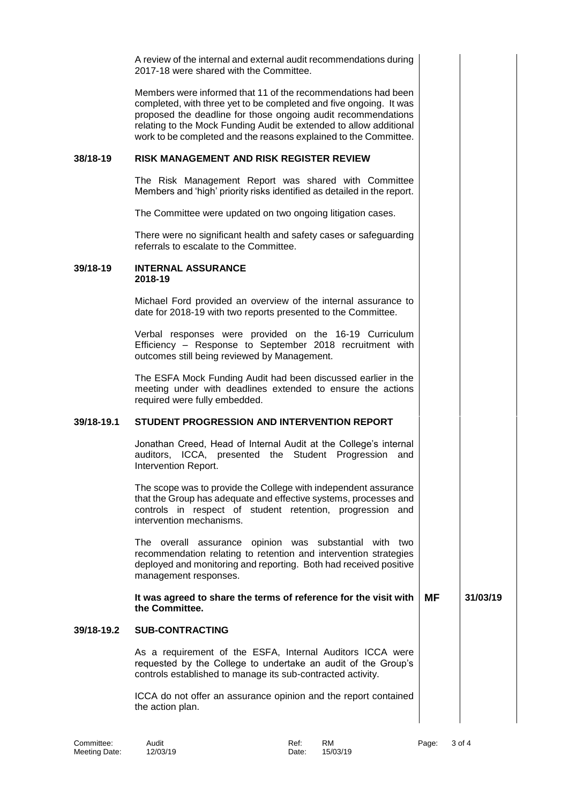A review of the internal and external audit recommendations during 2017-18 were shared with the Committee. Members were informed that 11 of the recommendations had been completed, with three yet to be completed and five ongoing. It was proposed the deadline for those ongoing audit recommendations relating to the Mock Funding Audit be extended to allow additional work to be completed and the reasons explained to the Committee. **38/18-19 RISK MANAGEMENT AND RISK REGISTER REVIEW** The Risk Management Report was shared with Committee Members and 'high' priority risks identified as detailed in the report. The Committee were updated on two ongoing litigation cases. There were no significant health and safety cases or safeguarding referrals to escalate to the Committee. **39/18-19 INTERNAL ASSURANCE 2018-19** Michael Ford provided an overview of the internal assurance to date for 2018-19 with two reports presented to the Committee. Verbal responses were provided on the 16-19 Curriculum Efficiency – Response to September 2018 recruitment with outcomes still being reviewed by Management. The ESFA Mock Funding Audit had been discussed earlier in the meeting under with deadlines extended to ensure the actions required were fully embedded. **39/18-19.1 STUDENT PROGRESSION AND INTERVENTION REPORT** Jonathan Creed, Head of Internal Audit at the College's internal auditors, ICCA, presented the Student Progression and Intervention Report. The scope was to provide the College with independent assurance that the Group has adequate and effective systems, processes and controls in respect of student retention, progression and intervention mechanisms. The overall assurance opinion was substantial with two recommendation relating to retention and intervention strategies deployed and monitoring and reporting. Both had received positive management responses. **It was agreed to share the terms of reference for the visit with the Committee. MF 31/03/19 39/18-19.2 SUB-CONTRACTING** As a requirement of the ESFA, Internal Auditors ICCA were requested by the College to undertake an audit of the Group's controls established to manage its sub-contracted activity. ICCA do not offer an assurance opinion and the report contained the action plan.

Meeting Date: 12/03/19 Date: 15/03/19